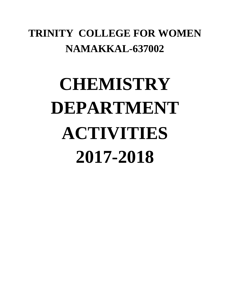## **TRINITY COLLEGE FOR WOMEN NAMAKKAL-637002**

## **CHEMISTRY DEPARTMENT ACTIVITIES 2017-2018**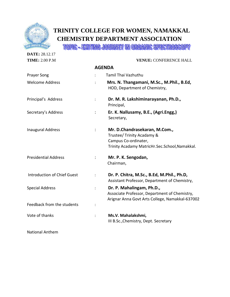

## **TRINITY COLLEGE FOR WOMEN, NAMAKKAL CHEMISTRY DEPARTMENT ASSOCIATION**

TOPIC - EXITING JOURNEY IN ORGANIC SPECTROSCOPY

| <b>DATE: 28.12.17</b>              |                      |                                                                                                                                       |
|------------------------------------|----------------------|---------------------------------------------------------------------------------------------------------------------------------------|
| <b>TIME: 2.00 P.M</b>              |                      | <b>VENUE: CONFERENCE HALL</b>                                                                                                         |
|                                    |                      | <b>AGENDA</b>                                                                                                                         |
| <b>Prayer Song</b>                 |                      | Tamil Thai Vazhuthu                                                                                                                   |
| <b>Welcome Address</b>             |                      | Mrs. N. Thangamani, M.Sc., M.Phil., B.Ed,<br>HOD, Department of Chemistry,                                                            |
| Principal's Address                | $\ddot{\cdot}$       | Dr. M. R. Lakshiminarayanan, Ph.D.,<br>Principal,                                                                                     |
| Secretary's Address                |                      | Er. K. Nallusamy, B.E., (Agri.Engg,)<br>Secretary,                                                                                    |
| <b>Inaugural Address</b>           |                      | Mr. D.Chandrasekaran, M.Com.,<br>Trustee/ Trinity Acadamy &<br>Campus Co-ordinater,<br>Trinity Acadamy MatricHr.Sec.School, Namakkal. |
| <b>Presidential Address</b>        |                      | Mr. P. K. Sengodan,<br>Chairman,                                                                                                      |
| <b>Introduction of Chief Guest</b> | $\ddot{\cdot}$       | Dr. P. Chitra, M.Sc., B.Ed, M.Phil., Ph.D,<br>Assistant Professor, Department of Chemistry,                                           |
| <b>Special Address</b>             |                      | Dr. P. Mahalingam, Ph.D.,<br>Associate Professor, Department of Chemistry,<br>Arignar Anna Govt Arts College, Namakkal-637002         |
| Feedback from the students         |                      |                                                                                                                                       |
| Vote of thanks                     | $\ddot{\phantom{a}}$ | Ms.V. Mahalakshmi,<br>III B.Sc., Chemistry, Dept. Secretary                                                                           |
| <b>National Anthem</b>             |                      |                                                                                                                                       |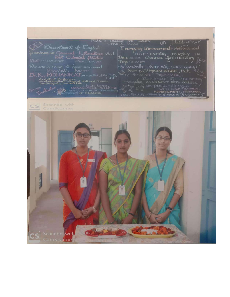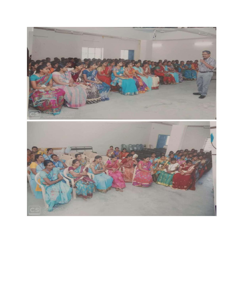

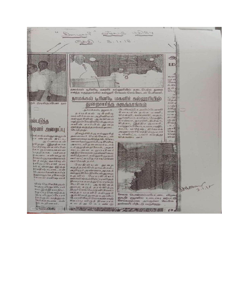

Gran La

தம் குடியிருப்போர் நல

## பல்படுத்த 1980 நிலைய

|சங்கங்கள்**மூலமும்**  $v \pi$  sin so  $t \mathcal{D}$   $\mathcal{D}$   $\mathcal{L}$ குப்பைகள் நடுறது. இதற்காக<br>ப்பரேஷன் சார்பில் ர்கா குப்பைகளை யதற்காக பச்சை ல்கூடைகள்வழங் சேலம்குரமாக்கலம் ள 3 வது வார்டில்<br>‡யிருப்போர் நல ன் உள்ளது. இந்த **With Say An COM A. GR We gravite and it is** த்துழைப்பு கொடு

<sup>1</sup>தீஷ் தெரிவிக்கும் **ET GIO UTICIBLICATI** <sup>மை இந்த</sup>யாதிட் வழப்பு கொடுக்க<br>குடியிருப்போர் மக்கும் மற்றும் கரிக்கக்கணை கள் ம் கூறிணார். **SECTION** 

**MI** 

ர்களைகயிஷ்ணர்

நாமக்கல், ஜன.3-.<br>நாமக்கல் டிரினிடி<br>மகளிர்கலைஅறிவியல் கல்லூரியில் ஆங்கிலம்<br>மற்றும்வேதியியல்துறை களின் சார்பில் துறை சார்ந்த கருத்தரங்கம் நடை பெற்றது.

நிகழ்ச்சிக்குகல்ணாரித் தலைவர் செங்கோட தலைமைவகித்தார். செய<br>ணளர்நல்லுசாமி, டி ரினிடி அகாடமி தலைவர் டாக் டர்குழந்தைவேல், அறக் கட்டளை உறுப்பினர்<br>கத்திரசேகரன் முன்னிலை வகித்தனர். கல்லூரி மூதல் வர்லட்சுமிநாராய ணன் வரவேற்றார்.

வேதியியல் துறை கருத்தரங்கில் நாமக்கல், அறிஞர் அண்ணா அரசுக் கல்லூரிவேதியியல் துறை உதவிப் பேராசிரியர் பக்காலிங்கம்சிறப்பு விருந் இரைராககலந்துகொண்டு பேசினார். ஆங்கிலத்<br>துறை கருத் தரங்கிற்கு<br>இருச்செங்கோடுவிலேகா னந்தா மகளிர் கல்லூரி ஆங்கிலத்துறை உதவிப்<br>பேராசிரியர்மோகன்மாஜ் கேறப்பு விருந்தினை ராக<br>கலந்து கொண்டு

டே கினார்,உதவிப்பேராசி ரி மைகள் தங்க மணி,<br>செல்வி, கண்ணகி, லதா, பூர்ணிமா, கவிதா, ரேவதி, ாவ்யா, தாரணி, தீபிகா, காவயா, தாரணி, தபிகா,<br>சித்ரா, இந்திர குமாரி,<br>பானுப்பிரியா,உமாபாரி,<br>சுபா, மகேஷ், நிர்வாக<br>அணுவலர்செந்தில்குமார் ள்ளிட்ட பலர் கலந்து கொண்டனர்.

 $YB/ZC$ 

 $\Theta$ LD&

முன்<br>கோர்  $8.3016$ 

நன் வீ

பெற்  $\sqrt{2}$ 二田

கேஷ்  $108 -$ 

 $U\oplus \frac{2}{3}$ 108(5)

 $G$ T Gar $G$ 

பயல்  $5.117$ 

西西

சிவக்

செந்தி

ஸ்டீ

MARIN

Scott

 $3.1.8$ 

價

நாமக்கல் டிரினிடி மகளிர் கல்லூரியில் நடைபெற்ற துறை<br>சாந்த கருத்தரங்கில் கல்லூரி சோ்மன் செங்கோடன் பேசினார்.

நாமக்கல் டிரினிடி மகளிர் கல்லூரியில்

துறைசாாந்த கருத்தரங்கம்



கேலம் பொன்னம்மாபேட்டை விநாடி குடிநீ குழாகில் உடைப்பு ஏற்பட்டு<br>செய்வதற்காக அங்குள்ள மேயின் இ தண்ணீர் பீறிட்டு வருகிறது. (LATADIAN TRANSPORTATION) TO A